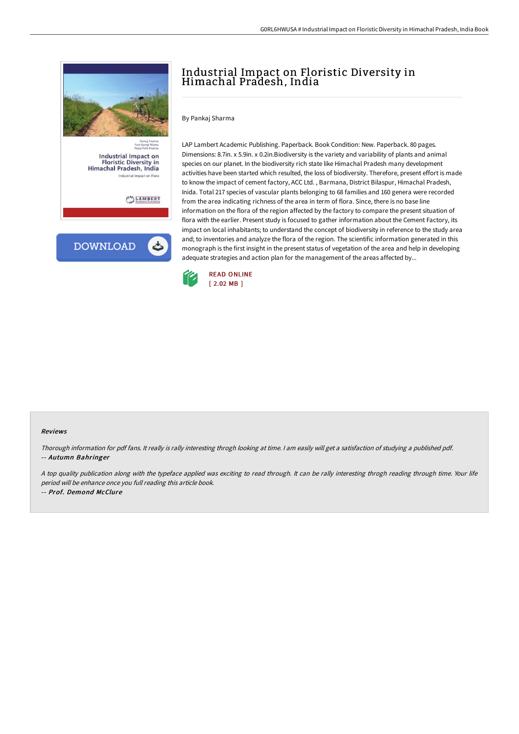



# Industrial Impact on Floristic Diversity in Himachal Pradesh, India

By Pankaj Sharma

LAP Lambert Academic Publishing. Paperback. Book Condition: New. Paperback. 80 pages. Dimensions: 8.7in. x 5.9in. x 0.2in.Biodiversity is the variety and variability of plants and animal species on our planet. In the biodiversity rich state like Himachal Pradesh many development activities have been started which resulted, the loss of biodiversity. Therefore, present effort is made to know the impact of cement factory, ACC Ltd. , Barmana, District Bilaspur, Himachal Pradesh, Inida. Total 217 species of vascular plants belonging to 68 families and 160 genera were recorded from the area indicating richness of the area in term of flora. Since, there is no base line information on the flora of the region affected by the factory to compare the present situation of flora with the earlier. Present study is focused to gather information about the Cement Factory, its impact on local inhabitants; to understand the concept of biodiversity in reference to the study area and; to inventories and analyze the flora of the region. The scientific information generated in this monograph is the first insight in the present status of vegetation of the area and help in developing adequate strategies and action plan for the management of the areas affected by...



#### Reviews

Thorough information for pdf fans. It really is rally interesting throgh looking at time. <sup>I</sup> am easily will get <sup>a</sup> satisfaction of studying <sup>a</sup> published pdf. -- Autumn Bahringer

A top quality publication along with the typeface applied was exciting to read through. It can be rally interesting throgh reading through time. Your life period will be enhance once you full reading this article book. -- Prof. Demond McClure